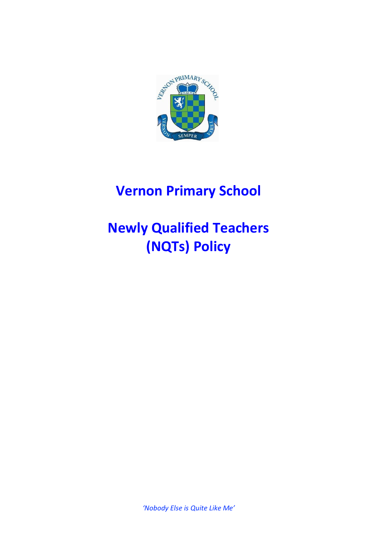

# **Vernon Primary School**

# **Newly Qualified Teachers (NQTs) Policy**

*'Nobody Else is Quite Like Me'*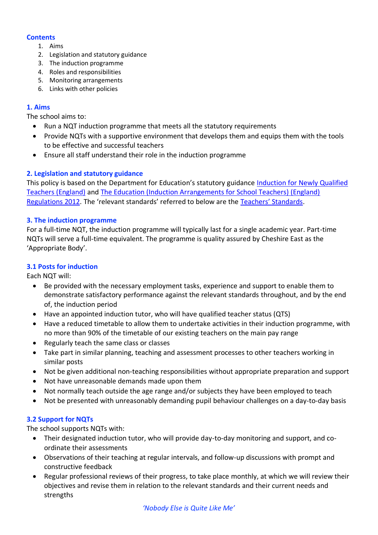#### **Contents**

- 1. Aims
- 2. Legislation and statutory guidance
- 3. The induction programme
- 4. Roles and responsibilities
- 5. Monitoring arrangements
- 6. Links with other policies

#### **1. Aims**

The school aims to:

- Run a NQT induction programme that meets all the statutory requirements
- Provide NQTs with a supportive environment that develops them and equips them with the tools to be effective and successful teachers
- Ensure all staff understand their role in the induction programme

#### **2. Legislation and statutory guidance**

This policy is based on the Department for Education's statutory guidance [Induction for Newly Qualified](https://www.gov.uk/government/publications/induction-for-newly-qualified-teachers-nqts)  [Teachers \(England\)](https://www.gov.uk/government/publications/induction-for-newly-qualified-teachers-nqts) and [The Education \(Induction Arrangements for School Teachers\) \(England\)](http://www.legislation.gov.uk/uksi/2012/1115/contents/made)  [Regulations 2012.](http://www.legislation.gov.uk/uksi/2012/1115/contents/made) The 'relevant standards' referred to below are the [Teachers' Standards](https://www.gov.uk/government/publications/teachers-standards).

#### **3. The induction programme**

For a full-time NQT, the induction programme will typically last for a single academic year. Part-time NQTs will serve a full-time equivalent. The programme is quality assured by Cheshire East as the 'Appropriate Body'.

#### **3.1 Posts for induction**

Each NQT will:

- Be provided with the necessary employment tasks, experience and support to enable them to demonstrate satisfactory performance against the relevant standards throughout, and by the end of, the induction period
- Have an appointed induction tutor, who will have qualified teacher status (QTS)
- Have a reduced timetable to allow them to undertake activities in their induction programme, with no more than 90% of the timetable of our existing teachers on the main pay range
- Regularly teach the same class or classes
- Take part in similar planning, teaching and assessment processes to other teachers working in similar posts
- Not be given additional non-teaching responsibilities without appropriate preparation and support
- Not have unreasonable demands made upon them
- Not normally teach outside the age range and/or subjects they have been employed to teach
- Not be presented with unreasonably demanding pupil behaviour challenges on a day-to-day basis

# **3.2 Support for NQTs**

The school supports NQTs with:

- Their designated induction tutor, who will provide day-to-day monitoring and support, and coordinate their assessments
- Observations of their teaching at regular intervals, and follow-up discussions with prompt and constructive feedback
- Regular professional reviews of their progress, to take place monthly, at which we will review their objectives and revise them in relation to the relevant standards and their current needs and strengths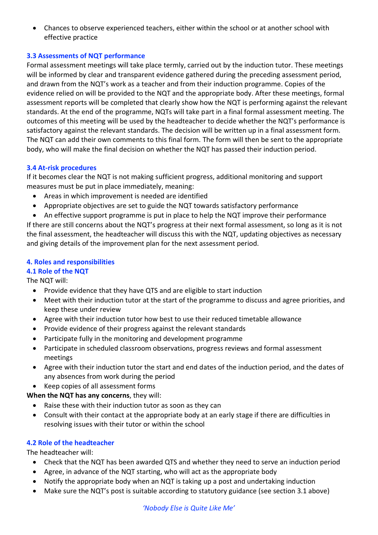• Chances to observe experienced teachers, either within the school or at another school with effective practice

# **3.3 Assessments of NQT performance**

Formal assessment meetings will take place termly, carried out by the induction tutor. These meetings will be informed by clear and transparent evidence gathered during the preceding assessment period, and drawn from the NQT's work as a teacher and from their induction programme. Copies of the evidence relied on will be provided to the NQT and the appropriate body. After these meetings, formal assessment reports will be completed that clearly show how the NQT is performing against the relevant standards. At the end of the programme, NQTs will take part in a final formal assessment meeting. The outcomes of this meeting will be used by the headteacher to decide whether the NQT's performance is satisfactory against the relevant standards. The decision will be written up in a final assessment form. The NQT can add their own comments to this final form. The form will then be sent to the appropriate body, who will make the final decision on whether the NQT has passed their induction period.

#### **3.4 At-risk procedures**

If it becomes clear the NQT is not making sufficient progress, additional monitoring and support measures must be put in place immediately, meaning:

- Areas in which improvement is needed are identified
- Appropriate objectives are set to guide the NQT towards satisfactory performance
- An effective support programme is put in place to help the NQT improve their performance

If there are still concerns about the NQT's progress at their next formal assessment, so long as it is not the final assessment, the headteacher will discuss this with the NQT, updating objectives as necessary and giving details of the improvement plan for the next assessment period.

#### **4. Roles and responsibilities**

#### **4.1 Role of the NQT**

The NQT will:

- Provide evidence that they have QTS and are eligible to start induction
- Meet with their induction tutor at the start of the programme to discuss and agree priorities, and keep these under review
- Agree with their induction tutor how best to use their reduced timetable allowance
- Provide evidence of their progress against the relevant standards
- Participate fully in the monitoring and development programme
- Participate in scheduled classroom observations, progress reviews and formal assessment meetings
- Agree with their induction tutor the start and end dates of the induction period, and the dates of any absences from work during the period
- Keep copies of all assessment forms

**When the NQT has any concerns**, they will:

- Raise these with their induction tutor as soon as they can
- Consult with their contact at the appropriate body at an early stage if there are difficulties in resolving issues with their tutor or within the school

#### **4.2 Role of the headteacher**

The headteacher will:

- Check that the NQT has been awarded QTS and whether they need to serve an induction period
- Agree, in advance of the NQT starting, who will act as the appropriate body
- Notify the appropriate body when an NQT is taking up a post and undertaking induction
- Make sure the NQT's post is suitable according to statutory guidance (see section 3.1 above)